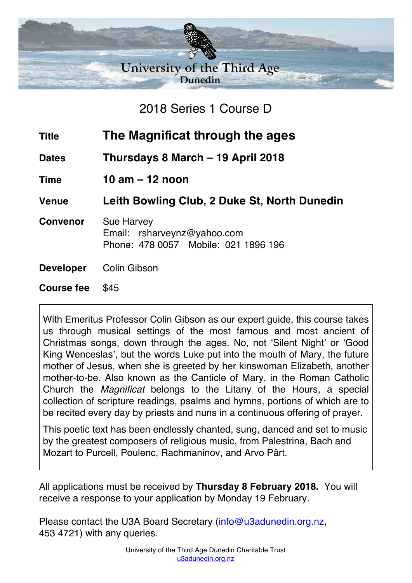

2018 Series 1 Course D

| <b>Title</b>    | The Magnificat through the ages                                                          |
|-----------------|------------------------------------------------------------------------------------------|
| <b>Dates</b>    | Thursdays 8 March – 19 April 2018                                                        |
| <b>Time</b>     | 10 am $-$ 12 noon                                                                        |
| <b>Venue</b>    | Leith Bowling Club, 2 Duke St, North Dunedin                                             |
| <b>Convenor</b> | <b>Sue Harvey</b><br>Email: rsharveynz@yahoo.com<br>Phone: 478 0057 Mobile: 021 1896 196 |

**Developer** Colin Gibson

**Course fee** \$45

With Emeritus Professor Colin Gibson as our expert guide, this course takes us through musical settings of the most famous and most ancient of Christmas songs, down through the ages. No, not 'Silent Night' or 'Good King Wenceslas', but the words Luke put into the mouth of Mary, the future mother of Jesus, when she is greeted by her kinswoman Elizabeth, another mother-to-be. Also known as the Canticle of Mary, in the Roman Catholic Church the *Magnificat* belongs to the Litany of the Hours, a special collection of scripture readings, psalms and hymns, portions of which are to be recited every day by priests and nuns in a continuous offering of prayer.

This poetic text has been endlessly chanted, sung, danced and set to music by the greatest composers of religious music, from Palestrina, Bach and Mozart to Purcell, Poulenc, Rachmaninov, and Arvo Pärt.

All applications must be received by **Thursday 8 February 2018.** You will receive a response to your application by Monday 19 February.

Please contact the U3A Board Secretary (info@u3adunedin.org.nz, 453 4721) with any queries.